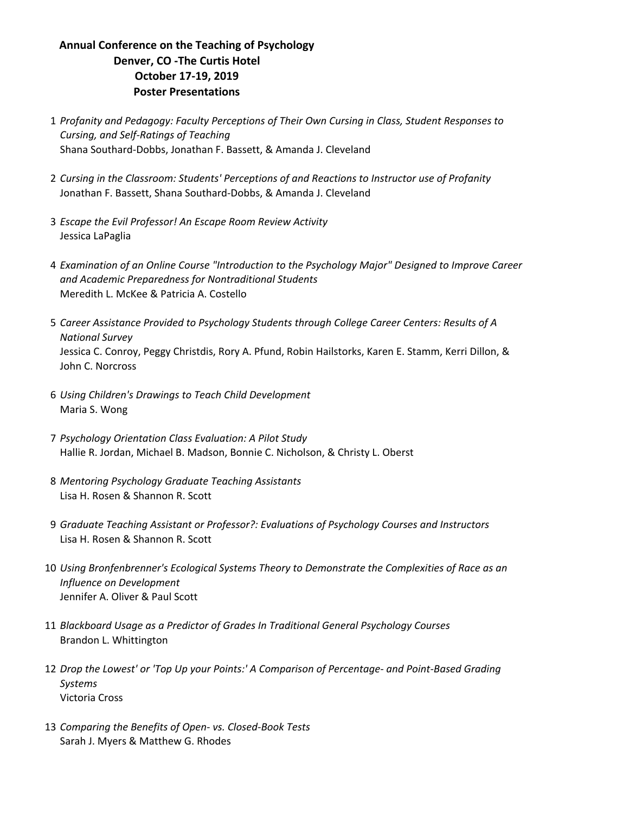## **Annual Conference on the Teaching of Psychology Denver, CO -The Curtis Hotel October 17-19, 2019 Poster Presentations**

- 1 *Profanity and Pedagogy: Faculty Perceptions of Their Own Cursing in Class, Student Responses to Cursing, and Self-Ratings of Teaching* Shana Southard-Dobbs, Jonathan F. Bassett, & Amanda J. Cleveland
- 2 *Cursing in the Classroom: Students' Perceptions of and Reactions to Instructor use of Profanity* Jonathan F. Bassett, Shana Southard-Dobbs, & Amanda J. Cleveland
- 3 *Escape the Evil Professor! An Escape Room Review Activity* Jessica LaPaglia
- 4 *Examination of an Online Course "Introduction to the Psychology Major" Designed to Improve Career and Academic Preparedness for Nontraditional Students* Meredith L. McKee & Patricia A. Costello
- 5 Career Assistance Provided to Psychology Students through College Career Centers: Results of A *National Survey* Jessica C. Conroy, Peggy Christdis, Rory A. Pfund, Robin Hailstorks, Karen E. Stamm, Kerri Dillon, & John C. Norcross
- 6 *Using Children's Drawings to Teach Child Development* Maria S. Wong
- 7 *Psychology Orientation Class Evaluation: A Pilot Study* Hallie R. Jordan, Michael B. Madson, Bonnie C. Nicholson, & Christy L. Oberst
- 8 *Mentoring Psychology Graduate Teaching Assistants* Lisa H. Rosen & Shannon R. Scott
- 9 Graduate Teaching Assistant or Professor?: Evaluations of Psychology Courses and Instructors Lisa H. Rosen & Shannon R. Scott
- 10 *Using Bronfenbrenner's Ecological Systems Theory to Demonstrate the Complexities of Race as an Influence on Development* Jennifer A. Oliver & Paul Scott
- 11 Blackboard Usage as a Predictor of Grades In Traditional General Psychology Courses Brandon L. Whittington
- 12 *Drop* the Lowest' or 'Top Up your Points:' A Comparison of Percentage- and Point-Based Grading *Systems* Victoria Cross
- 13 Comparing the Benefits of Open- vs. Closed-Book Tests Sarah J. Myers & Matthew G. Rhodes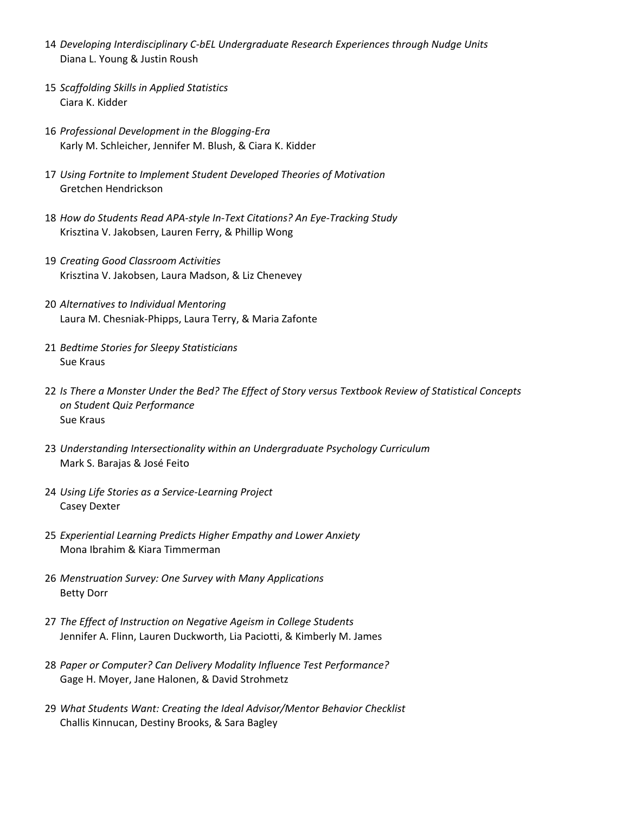- 14 Developing Interdisciplinary C-bEL Undergraduate Research Experiences through Nudge Units Diana L. Young & Justin Roush
- 15 *Scaffolding Skills in Applied Statistics* Ciara K. Kidder
- 16 *Professional Development in the Blogging-Era* Karly M. Schleicher, Jennifer M. Blush, & Ciara K. Kidder
- 17 Using Fortnite to Implement Student Developed Theories of Motivation Gretchen Hendrickson
- 18 How do Students Read APA-style In-Text Citations? An Eye-Tracking Study Krisztina V. Jakobsen, Lauren Ferry, & Phillip Wong
- 19 *Creating Good Classroom Activities* Krisztina V. Jakobsen, Laura Madson, & Liz Chenevey
- 20 Alternatives to Individual Mentoring Laura M. Chesniak-Phipps, Laura Terry, & Maria Zafonte
- 21 *Bedtime Stories for Sleepy Statisticians* Sue Kraus
- 22 Is There a Monster Under the Bed? The Effect of Story versus Textbook Review of Statistical Concepts *on Student Quiz Performance* Sue Kraus
- 23 Understanding Intersectionality within an Undergraduate Psychology Curriculum Mark S. Barajas & José Feito
- 24 Using Life Stories as a Service-Learning Project Casey Dexter
- 25 *Experiential Learning Predicts Higher Empathy and Lower Anxiety* Mona Ibrahim & Kiara Timmerman
- 26 Menstruation Survey: One Survey with Many Applications **Betty Dorr**
- 27 The Effect of Instruction on Negative Ageism in College Students Jennifer A. Flinn, Lauren Duckworth, Lia Paciotti, & Kimberly M. James
- 28 Paper or Computer? Can Delivery Modality Influence Test Performance? Gage H. Moyer, Jane Halonen, & David Strohmetz
- 29 What Students Want: Creating the Ideal Advisor/Mentor Behavior Checklist Challis Kinnucan, Destiny Brooks, & Sara Bagley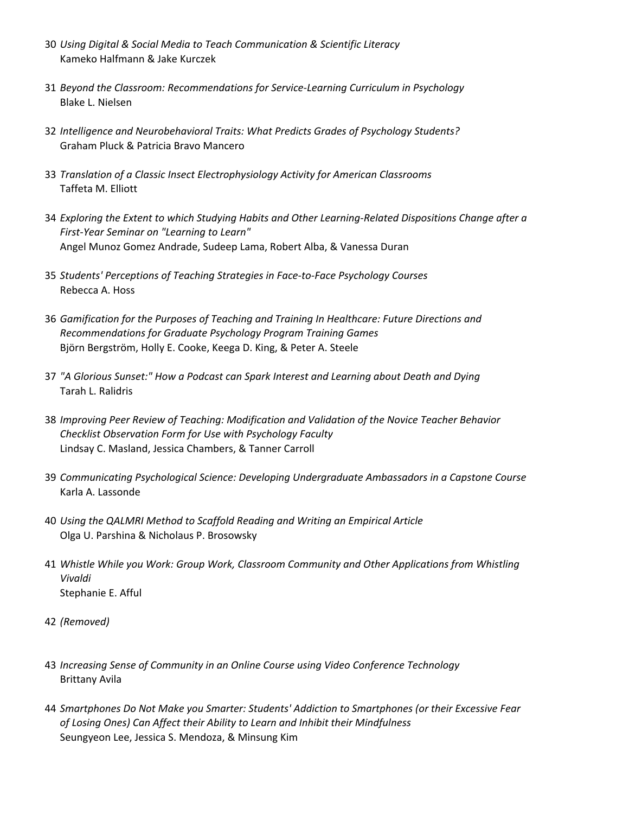- 30 *Using Digital & Social Media to Teach Communication & Scientific Literacy* Kameko Halfmann & Jake Kurczek
- 31 Beyond the Classroom: Recommendations for Service-Learning Curriculum in Psychology Blake L. Nielsen
- 32 *Intelligence and Neurobehavioral Traits: What Predicts Grades of Psychology Students?* Graham Pluck & Patricia Bravo Mancero
- 33 Translation of a Classic Insect Electrophysiology Activity for American Classrooms Taffeta M. Elliott
- 34 *Exploring the Extent to which Studying Habits and Other Learning-Related Dispositions Change after a First-Year Seminar on "Learning to Learn"* Angel Munoz Gomez Andrade, Sudeep Lama, Robert Alba, & Vanessa Duran
- 35 Students' Perceptions of Teaching Strategies in Face-to-Face Psychology Courses Rebecca A. Hoss
- 36 Gamification for the Purposes of Teaching and Training In Healthcare: Future Directions and **Recommendations for Graduate Psychology Program Training Games** Björn Bergström, Holly E. Cooke, Keega D. King, & Peter A. Steele
- 37 "A Glorious Sunset:" How a Podcast can Spark Interest and Learning about Death and Dying Tarah L. Ralidris
- 38 *Improving Peer Review of Teaching: Modification and Validation of the Novice Teacher Behavior Checklist Observation Form for Use with Psychology Faculty* Lindsay C. Masland, Jessica Chambers, & Tanner Carroll
- 39 *Communicating Psychological Science: Developing Undergraduate Ambassadors in a Capstone Course* Karla A. Lassonde
- 40 Using the QALMRI Method to Scaffold Reading and Writing an Empirical Article Olga U. Parshina & Nicholaus P. Brosowsky
- 41 Whistle While you Work: Group Work, Classroom Community and Other Applications from Whistling *Vivaldi* Stephanie E. Afful
- 42 *(Removed)*
- 43 *Increasing Sense of Community in an Online Course using Video Conference Technology* Brittany Avila
- 44 Smartphones Do Not Make you Smarter: Students' Addiction to Smartphones (or their Excessive Fear of Losing Ones) Can Affect their Ability to Learn and Inhibit their Mindfulness Seungyeon Lee, Jessica S. Mendoza, & Minsung Kim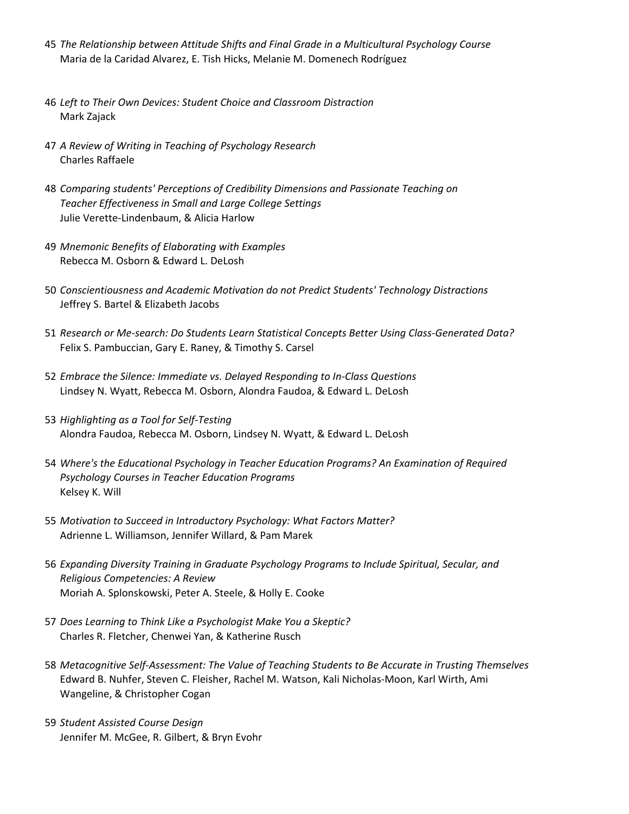- 45 The Relationship between Attitude Shifts and Final Grade in a Multicultural Psychology Course Maria de la Caridad Alvarez, E. Tish Hicks, Melanie M. Domenech Rodríguez
- 46 Left to Their Own Devices: Student Choice and Classroom Distraction Mark Zajack
- 47 *A Review of Writing in Teaching of Psychology Research* Charles Raffaele
- 48 Comparing students' Perceptions of Credibility Dimensions and Passionate Teaching on *Teacher Effectiveness in Small and Large College Settings* Julie Verette-Lindenbaum, & Alicia Harlow
- 49 *Mnemonic Benefits of Elaborating with Examples* Rebecca M. Osborn & Edward L. DeLosh
- 50 *Conscientiousness and Academic Motivation do not Predict Students' Technology Distractions* Jeffrey S. Bartel & Elizabeth Jacobs
- 51 *Research or Me-search: Do Students Learn Statistical Concepts Better Using Class-Generated Data?* Felix S. Pambuccian, Gary E. Raney, & Timothy S. Carsel
- 52 *Embrace the Silence: Immediate vs. Delayed Responding to In-Class Questions* Lindsey N. Wyatt, Rebecca M. Osborn, Alondra Faudoa, & Edward L. DeLosh
- 53 Highlighting as a Tool for Self-Testing Alondra Faudoa, Rebecca M. Osborn, Lindsey N. Wyatt, & Edward L. DeLosh
- 54 Where's the Educational Psychology in Teacher Education Programs? An Examination of Required *Psychology Courses in Teacher Education Programs* Kelsey K. Will
- 55 Motivation to Succeed in Introductory Psychology: What Factors Matter? Adrienne L. Williamson, Jennifer Willard, & Pam Marek
- 56 Expanding Diversity Training in Graduate Psychology Programs to Include Spiritual, Secular, and *Religious Competencies: A Review* Moriah A. Splonskowski, Peter A. Steele, & Holly E. Cooke
- 57 *Does Learning to Think Like a Psychologist Make You a Skeptic?* Charles R. Fletcher, Chenwei Yan, & Katherine Rusch
- 58 Metacognitive Self-Assessment: The Value of Teaching Students to Be Accurate in Trusting Themselves Edward B. Nuhfer, Steven C. Fleisher, Rachel M. Watson, Kali Nicholas-Moon, Karl Wirth, Ami Wangeline, & Christopher Cogan
- 59 *Student Assisted Course Design* Jennifer M. McGee, R. Gilbert, & Bryn Evohr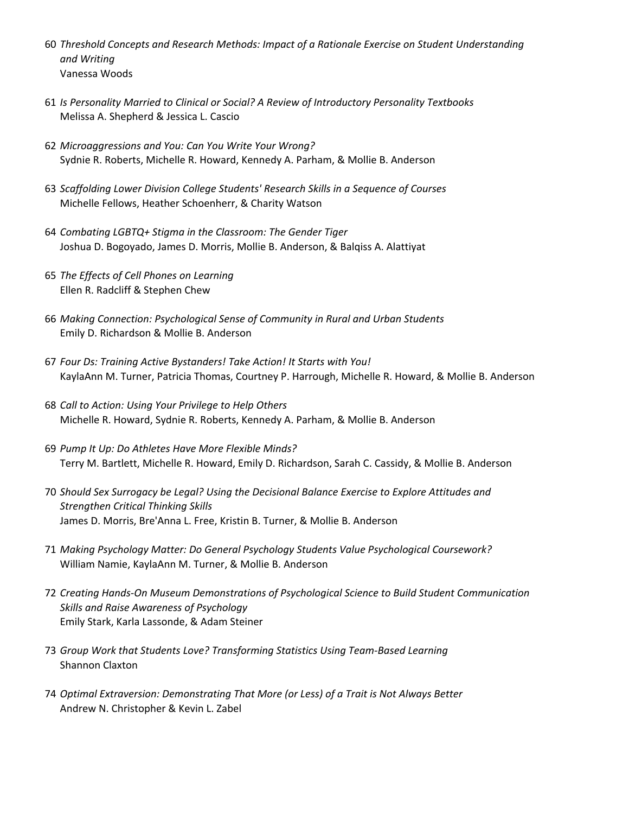- 60 Threshold Concepts and Research Methods: Impact of a Rationale Exercise on Student Understanding *and Writing* Vanessa Woods
- 61 *Is Personality Married to Clinical or Social? A Review of Introductory Personality Textbooks* Melissa A. Shepherd & Jessica L. Cascio
- 62 *Microaggressions and You: Can You Write Your Wrong?* Sydnie R. Roberts, Michelle R. Howard, Kennedy A. Parham, & Mollie B. Anderson
- 63 *Scaffolding Lower Division College Students' Research Skills in a Sequence of Courses* Michelle Fellows, Heather Schoenherr, & Charity Watson
- 64 Combating LGBTQ+ Stigma in the Classroom: The Gender Tiger Joshua D. Bogoyado, James D. Morris, Mollie B. Anderson, & Balqiss A. Alattiyat
- 65 *The Effects of Cell Phones on Learning* Ellen R. Radcliff & Stephen Chew
- 66 *Making Connection: Psychological Sense of Community in Rural and Urban Students* Emily D. Richardson & Mollie B. Anderson
- 67 Four Ds: Training Active Bystanders! Take Action! It Starts with You! KaylaAnn M. Turner, Patricia Thomas, Courtney P. Harrough, Michelle R. Howard, & Mollie B. Anderson
- 68 *Call to Action: Using Your Privilege to Help Others* Michelle R. Howard, Sydnie R. Roberts, Kennedy A. Parham, & Mollie B. Anderson
- 69 *Pump It Up: Do Athletes Have More Flexible Minds?* Terry M. Bartlett, Michelle R. Howard, Emily D. Richardson, Sarah C. Cassidy, & Mollie B. Anderson
- 70 Should Sex Surrogacy be Legal? Using the Decisional Balance Exercise to Explore Attitudes and *Strengthen Critical Thinking Skills* James D. Morris, Bre'Anna L. Free, Kristin B. Turner, & Mollie B. Anderson
- 71 Making Psychology Matter: Do General Psychology Students Value Psychological Coursework? William Namie, KaylaAnn M. Turner, & Mollie B. Anderson
- 72 Creating Hands-On Museum Demonstrations of Psychological Science to Build Student Communication **Skills and Raise Awareness of Psychology** Emily Stark, Karla Lassonde, & Adam Steiner
- 73 *Group Work that Students Love? Transforming Statistics Using Team-Based Learning* Shannon Claxton
- 74 Optimal Extraversion: Demonstrating That More (or Less) of a Trait is Not Always Better Andrew N. Christopher & Kevin L. Zabel